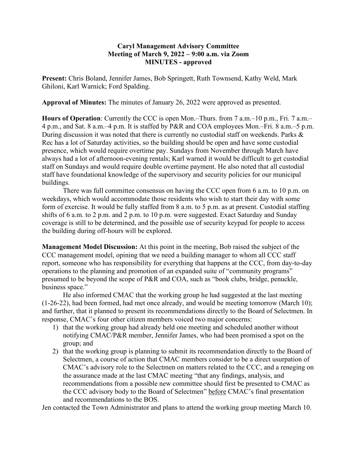## **Caryl Management Advisory Committee Meeting of March 9, 2022 – 9:00 a.m. via Zoom MINUTES - approved**

**Present:** Chris Boland, Jennifer James, Bob Springett, Ruth Townsend, Kathy Weld, Mark Ghiloni, Karl Warnick; Ford Spalding.

**Approval of Minutes:** The minutes of January 26, 2022 were approved as presented.

**Hours of Operation**: Currently the CCC is open Mon.–Thurs. from 7 a.m.–10 p.m., Fri. 7 a.m.– 4 p.m., and Sat. 8 a.m.–4 p.m. It is staffed by P&R and COA employees Mon.–Fri. 8 a.m.–5 p.m. During discussion it was noted that there is currently no custodial staff on weekends. Parks & Rec has a lot of Saturday activities, so the building should be open and have some custodial presence, which would require overtime pay. Sundays from November through March have always had a lot of afternoon-evening rentals; Karl warned it would be difficult to get custodial staff on Sundays and would require double overtime payment. He also noted that all custodial staff have foundational knowledge of the supervisory and security policies for our municipal buildings.

There was full committee consensus on having the CCC open from 6 a.m. to 10 p.m. on weekdays, which would accommodate those residents who wish to start their day with some form of exercise. It would be fully staffed from 8 a.m. to 5 p.m. as at present. Custodial staffing shifts of 6 a.m. to 2 p.m. and 2 p.m. to 10 p.m. were suggested. Exact Saturday and Sunday coverage is still to be determined, and the possible use of security keypad for people to access the building during off-hours will be explored.

**Management Model Discussion:** At this point in the meeting, Bob raised the subject of the CCC management model, opining that we need a building manager to whom all CCC staff report, someone who has responsibility for everything that happens at the CCC, from day-to-day operations to the planning and promotion of an expanded suite of "community programs" presumed to be beyond the scope of P&R and COA, such as "book clubs, bridge, penuckle, business space."

He also informed CMAC that the working group he had suggested at the last meeting (1-26-22), had been formed, had met once already, and would be meeting tomorrow (March 10); and further, that it planned to present its recommendations directly to the Board of Selectmen. In response, CMAC's four other citizen members voiced two major concerns:

- 1) that the working group had already held one meeting and scheduled another without notifying CMAC/P&R member, Jennifer James, who had been promised a spot on the group; and
- 2) that the working group is planning to submit its recommendation directly to the Board of Selectmen, a course of action that CMAC members consider to be a direct usurpation of CMAC's advisory role to the Selectmen on matters related to the CCC, and a reneging on the assurance made at the last CMAC meeting "that any findings, analysis, and recommendations from a possible new committee should first be presented to CMAC as the CCC advisory body to the Board of Selectmen" before CMAC's final presentation and recommendations to the BOS.

Jen contacted the Town Administrator and plans to attend the working group meeting March 10.